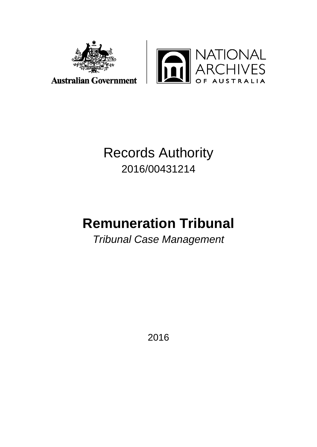



## Records Authority 2016/00431214

# **Remuneration Tribunal**

*Tribunal Case Management*

2016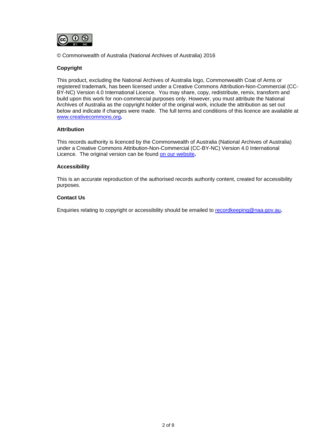

© Commonwealth of Australia (National Archives of Australia) 2016

#### **Copyright**

This product, excluding the National Archives of Australia logo, Commonwealth Coat of Arms or registered trademark, has been licensed under a Creative Commons Attribution-Non-Commercial (CC-BY-NC) Version 4.0 International Licence. You may share, copy, redistribute, remix, transform and build upon this work for non-commercial purposes only. However, you must attribute the National Archives of Australia as the copyright holder of the original work, include the attribution as set out below and indicate if changes were made. The full terms and conditions of this licence are available at [www.creativecommons.org](http://www.creativecommons.org/)**.**

#### **Attribution**

This records authority is licenced by the Commonwealth of Australia (National Archives of Australia) under a Creative Commons Attribution-Non-Commercial (CC-BY-NC) Version 4.0 International Licence. The original version can be found [on our website](http://www.naa.gov.au/)**.**

#### **Accessibility**

This is an accurate reproduction of the authorised records authority content, created for accessibility purposes.

#### **Contact Us**

Enquiries relating to copyright or accessibility should be emailed to [recordkeeping@naa.gov.au](mailto:recordkeeping@naa.gov.au)**.**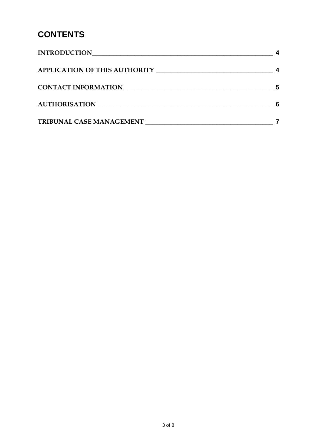### **CONTENTS**

| <b>INTRODUCTION</b>             |  |
|---------------------------------|--|
|                                 |  |
| <b>CONTACT INFORMATION</b>      |  |
| <b>AUTHORISATION</b>            |  |
| <b>TRIBUNAL CASE MANAGEMENT</b> |  |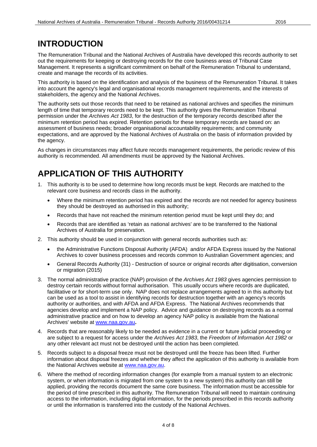### <span id="page-3-0"></span>**INTRODUCTION**

The Remuneration Tribunal and the National Archives of Australia have developed this records authority to set out the requirements for keeping or destroying records for the core business areas of Tribunal Case Management. It represents a significant commitment on behalf of the Remuneration Tribunal to understand, create and manage the records of its activities.

This authority is based on the identification and analysis of the business of the Remuneration Tribunal. It takes into account the agency's legal and organisational records management requirements, and the interests of stakeholders, the agency and the National Archives.

The authority sets out those records that need to be retained as national archives and specifies the minimum length of time that temporary records need to be kept. This authority gives the Remuneration Tribunal permission under the *Archives Act 1983*, for the destruction of the temporary records described after the minimum retention period has expired. Retention periods for these temporary records are based on: an assessment of business needs; broader organisational accountability requirements; and community expectations, and are approved by the National Archives of Australia on the basis of information provided by the agency.

As changes in circumstances may affect future records management requirements, the periodic review of this authority is recommended. All amendments must be approved by the National Archives.

### <span id="page-3-1"></span>**APPLICATION OF THIS AUTHORITY**

- 1. This authority is to be used to determine how long records must be kept. Records are matched to the relevant core business and records class in the authority.
	- Where the minimum retention period has expired and the records are not needed for agency business they should be destroyed as authorised in this authority;
	- Records that have not reached the minimum retention period must be kept until they do; and
	- Records that are identified as 'retain as national archives' are to be transferred to the National Archives of Australia for preservation.
- 2. This authority should be used in conjunction with general records authorities such as:
	- the Administrative Functions Disposal Authority (AFDA) and/or AFDA Express issued by the National Archives to cover business processes and records common to Australian Government agencies; and
	- General Records Authority (31) Destruction of source or original records after digitisation, conversion or migration (2015)
- 3. The normal administrative practice (NAP) provision of the *Archives Act 1983* gives agencies permission to destroy certain records without formal authorisation. This usually occurs where records are duplicated, facilitative or for short-term use only. NAP does not replace arrangements agreed to in this authority but can be used as a tool to assist in identifying records for destruction together with an agency's records authority or authorities, and with AFDA and AFDA Express. The National Archives recommends that agencies develop and implement a NAP policy. Advice and guidance on destroying records as a normal administrative practice and on how to develop an agency NAP policy is available from the National Archives' website at [www.naa.gov.au](http://www.naa.gov.au/)**.**
- 4. Records that are reasonably likely to be needed as evidence in a current or future judicial proceeding or are subject to a request for access under the *Archives Act 1983*, the *Freedom of Information Act 1982* or any other relevant act must not be destroyed until the action has been completed.
- 5. Records subject to a disposal freeze must not be destroyed until the freeze has been lifted. Further information about disposal freezes and whether they affect the application of this authority is available from the National Archives website at [www.naa.gov.au.](http://www.naa.gov.au/)
- 6. Where the method of recording information changes (for example from a manual system to an electronic system, or when information is migrated from one system to a new system) this authority can still be applied, providing the records document the same core business. The information must be accessible for the period of time prescribed in this authority. The Remuneration Tribunal will need to maintain continuing access to the information, including digital information, for the periods prescribed in this records authority or until the information is transferred into the custody of the National Archives.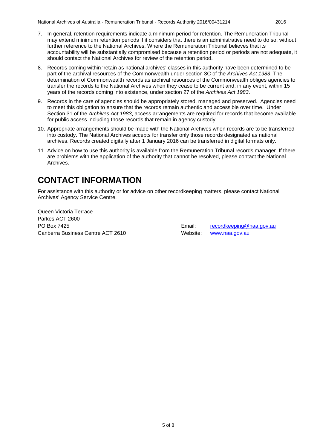- 7. In general, retention requirements indicate a minimum period for retention. The Remuneration Tribunal may extend minimum retention periods if it considers that there is an administrative need to do so, without further reference to the National Archives. Where the Remuneration Tribunal believes that its accountability will be substantially compromised because a retention period or periods are not adequate, it should contact the National Archives for review of the retention period.
- 8. Records coming within 'retain as national archives' classes in this authority have been determined to be part of the archival resources of the Commonwealth under section 3C of the *Archives Act 1983*. The determination of Commonwealth records as archival resources of the Commonwealth obliges agencies to transfer the records to the National Archives when they cease to be current and, in any event, within 15 years of the records coming into existence, under section 27 of the *Archives Act 1983*.
- 9. Records in the care of agencies should be appropriately stored, managed and preserved. Agencies need to meet this obligation to ensure that the records remain authentic and accessible over time. Under Section 31 of the *Archives Act 1983*, access arrangements are required for records that become available for public access including those records that remain in agency custody.
- 10. Appropriate arrangements should be made with the National Archives when records are to be transferred into custody. The National Archives accepts for transfer only those records designated as national archives. Records created digitally after 1 January 2016 can be transferred in digital formats only.
- 11. Advice on how to use this authority is available from the Remuneration Tribunal records manager. If there are problems with the application of the authority that cannot be resolved, please contact the National Archives.

### <span id="page-4-0"></span>**CONTACT INFORMATION**

For assistance with this authority or for advice on other recordkeeping matters, please contact National Archives' Agency Service Centre.

Queen Victoria Terrace Parkes ACT 2600 PO Box 7425 **Email:** [recordkeeping@naa.gov.au](mailto:recordkeeping@naa.gov.au) **Email: Email:** recordkeeping@naa.gov.au Canberra Business Centre ACT 2610 Website: [www.naa.gov.au](http://www.naa.gov.au/)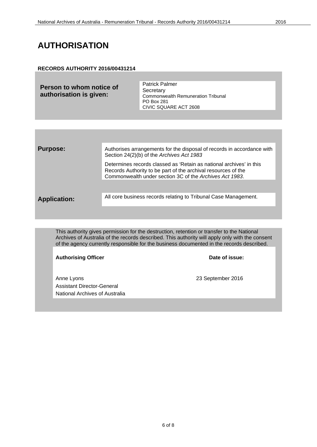#### <span id="page-5-0"></span>**AUTHORISATION**

#### **RECORDS AUTHORITY 2016/00431214**

**Person to whom notice of authorisation is given:** Patrick Palmer **Secretary** Commonwealth Remuneration Tribunal PO Box 281 CIVIC SQUARE ACT 2608

**Purpose:** Authorises arrangements for the disposal of records in accordance with Section 24(2)(b) of the *Archives Act 1983* Determines records classed as 'Retain as national archives' in this Records Authority to be part of the archival resources of the Commonwealth under section 3C of the *Archives Act 1983*. **Application:** All core business records relating to Tribunal Case Management.

This authority gives permission for the destruction, retention or transfer to the National Archives of Australia of the records described. This authority will apply only with the consent of the agency currently responsible for the business documented in the records described.

Authorising Officer **Contract Contract Contract Contract Contract Contract Contract Contract Contract Contract Contract Contract Contract Contract Contract Contract Contract Contract Contract Contract Contract Contract Con** 

Anne Lyons 23 September 2016 Assistant Director-General National Archives of Australia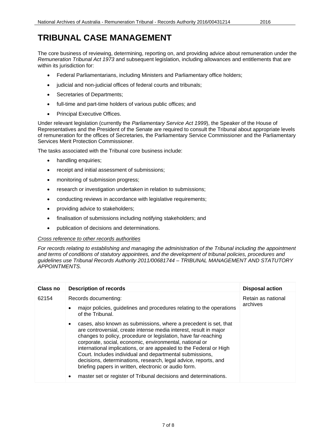### <span id="page-6-0"></span>**TRIBUNAL CASE MANAGEMENT**

The core business of reviewing, determining, reporting on, and providing advice about remuneration under the *Remuneration Tribunal Act 1973* and subsequent legislation, including allowances and entitlements that are within its jurisdiction for:

- Federal Parliamentarians, including Ministers and Parliamentary office holders;
- judicial and non-judicial offices of federal courts and tribunals;
- Secretaries of Departments;
- full-time and part-time holders of various public offices; and
- Principal Executive Offices.

Under relevant legislation (currently the *Parliamentary Service Act 1999*), the Speaker of the House of Representatives and the President of the Senate are required to consult the Tribunal about appropriate levels of remuneration for the offices of Secretaries, the Parliamentary Service Commissioner and the Parliamentary Services Merit Protection Commissioner.

The tasks associated with the Tribunal core business include:

- handling enquiries;
- receipt and initial assessment of submissions;
- monitoring of submission progress;
- research or investigation undertaken in relation to submissions;
- conducting reviews in accordance with legislative requirements;
- providing advice to stakeholders;
- finalisation of submissions including notifying stakeholders; and
- publication of decisions and determinations.

#### *Cross reference to other records authorities*

*For records relating to establishing and managing the administration of the Tribunal including the appointment and terms of conditions of statutory appointees, and the development of tribunal policies, procedures and guidelines use Tribunal Records Authority 2011/00681744 – TRIBUNAL MANAGEMENT AND STATUTORY APPOINTMENTS.*

| <b>Class no</b> | <b>Description of records</b>                                                                                                                                                                                                                                                                                                                                                                                                                                                                                                                                                                             | <b>Disposal action</b>         |
|-----------------|-----------------------------------------------------------------------------------------------------------------------------------------------------------------------------------------------------------------------------------------------------------------------------------------------------------------------------------------------------------------------------------------------------------------------------------------------------------------------------------------------------------------------------------------------------------------------------------------------------------|--------------------------------|
| 62154           | Records documenting:<br>major policies, guidelines and procedures relating to the operations<br>of the Tribunal.                                                                                                                                                                                                                                                                                                                                                                                                                                                                                          | Retain as national<br>archives |
|                 | cases, also known as submissions, where a precedent is set, that<br>are controversial, create intense media interest, result in major<br>changes to policy, procedure or legislation, have far-reaching<br>corporate, social, economic, environmental, national or<br>international implications, or are appealed to the Federal or High<br>Court. Includes individual and departmental submissions,<br>decisions, determinations, research, legal advice, reports, and<br>briefing papers in written, electronic or audio form.<br>master set or register of Tribunal decisions and determinations.<br>٠ |                                |